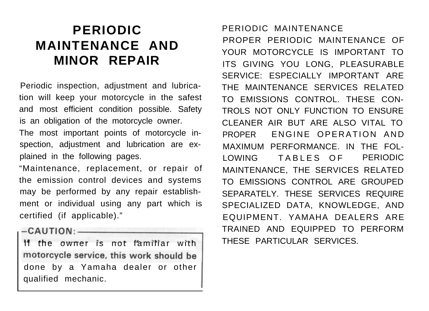# **PERIODIC MAINTENANCE AND MINOR REPAIR**

Periodic inspection, adjustment and lubrication will keep your motorcycle in the safest and most efficient condition possible. Safety is an obligation of the motorcycle owner.

The most important points of motorcycle inspection, adjustment and lubrication are explained in the following pages.

"Maintenance, replacement, or repair of the emission control devices and systems may be performed by any repair establishment or individual using any part which is certified (if applicable)."

 $-CAUTION:$ 

If the owner is not familiar with motorcycle service, this work should be done by a Yamaha dealer or other qualified mechanic.

# PERIODIC MAINTENANCE

PROPER PERIODIC MAINTENANCE OF YOUR MOTORCYCLE IS IMPORTANT TO ITS GIVING YOU LONG, PLEASURABLE SERVICE: ESPECIALLY IMPORTANT ARE THE MAINTENANCE SERVICES RELATED TO EMISSIONS CONTROL. THESE CON-TROLS NOT ONLY FUNCTION TO ENSURE CLEANER AIR BUT ARE ALSO VITAL TO PROPER ENGINE OPERATION AND MAXIMUM PERFORMANCE. IN THE FOL-LOWING TABLES OF PERIODIC MAINTENANCE, THE SERVICES RELATED TO EMISSIONS CONTROL ARE GROUPED SEPARATELY. THESE SERVICES REQUIRE SPECIALIZED DATA, KNOWLEDGE, AND EQUIPMENT. YAMAHA DEALERS ARE TRAINED AND EQUIPPED TO PERFORM THESE PARTICULAR SERVICES.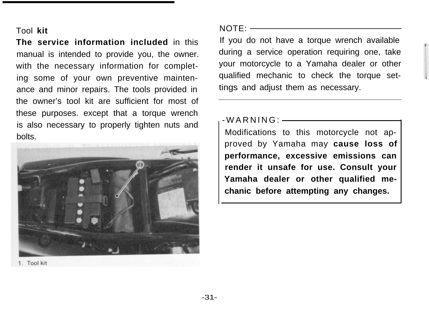#### Tool **kit**

**The service information included** in this manual is intended to provide you, the owner. with the necessary information for completing some of your own preventive maintenance and minor repairs. The tools provided in the owner's tool kit are sufficient for most of these purposes. except that a torque wrench is also necessary to properly tighten nuts and bolts.



 $NOTF: -$ 

If you do not have a torque wrench available during a service operation requiring one, take your motorcycle to a Yamaha dealer or other qualified mechanic to check the torque settings and adjust them as necessary.

 $-WARNING:$   $\longrightarrow$ 

Modifications to this motorcycle not approved by Yamaha may **cause loss of performance, excessive emissions can render it unsafe for use. Consult your Yamaha dealer or other qualified mechanic before attempting any changes.**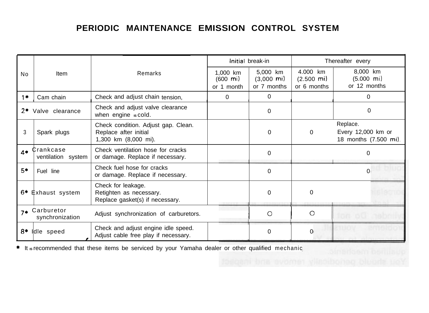# **PERIODIC MAINTENANCE EMISSION CONTROL SYSTEM**

|                |                                 |                                                                                      | Initial break-in                               |                                                   | Thereafter every                                  |                                                         |  |
|----------------|---------------------------------|--------------------------------------------------------------------------------------|------------------------------------------------|---------------------------------------------------|---------------------------------------------------|---------------------------------------------------------|--|
| N <sub>0</sub> | Item                            | Remarks                                                                              | 1,000 km<br>$(600 \; \text{mi})$<br>or 1 month | 5,000 km<br>$(3,000 \; \text{mi})$<br>or 7 months | 4.000 km<br>$(2.500 \; \text{mi})$<br>or 6 months | 8,000 km<br>$(5.000 \text{ mi})$<br>or 12 months        |  |
| $1 +$          | Cam chain                       | Check and adjust chain tension,                                                      | $\Omega$                                       | $\Omega$                                          |                                                   | $\Omega$                                                |  |
| 2*             | Valve clearance                 | Check and adjust valve clearance<br>when engine scold.                               |                                                | $\Omega$                                          |                                                   | $\Omega$                                                |  |
| 3              | Spark plugs                     | Check condition. Adjust gap. Clean.<br>Replace after initial<br>1,300 km (8,000 mi). |                                                | $\Omega$                                          | $\Omega$                                          | Replace.<br>Every 12,000 km or<br>18 months (7.500 mi). |  |
| $4*$           | Crankcase<br>ventilation system | Check ventilation hose for cracks<br>or damage. Replace if necessary.                |                                                | $\Omega$                                          |                                                   | 0                                                       |  |
| 5*             | Fuel line                       | Check fuel hose for cracks<br>or damage. Replace if necessary.                       |                                                | $\Omega$                                          |                                                   | $\Omega$                                                |  |
| 6*             | Exhaust system                  | Check for leakage.<br>Retighten as necessary.<br>Replace gasket(s) if necessary.     |                                                | $\Omega$                                          | $\Omega$                                          |                                                         |  |
| $7*$           | Carburetor<br>synchronization   | Adjust synchronization of carburetors.                                               |                                                | $\circ$                                           | $\Omega$                                          | <b>104 00 78</b>                                        |  |
| 8*             | Idle speed                      | Check and adjust engine idle speed.<br>Adjust cable free play if necessary.          |                                                | $\Omega$                                          | $\Omega$                                          |                                                         |  |

\* It **IS** recommended that these items be serviced by your Yamaha dealer or other qualified mechanic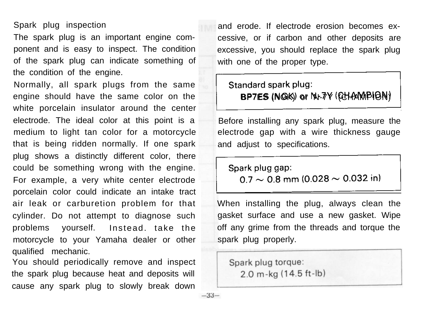#### Spark plug inspection

The spark plug is an important engine component and is easy to inspect. The condition of the spark plug can indicate something of the condition of the engine.

Normally, all spark plugs from the same engine should have the same color on the white porcelain insulator around the center electrode. The ideal color at this point is a medium to light tan color for a motorcycle that is being ridden normally. If one spark plug shows a distinctly different color, there could be something wrong with the engine. For example, a very white center electrode porcelain color could indicate an intake tract air leak or carburetion problem for that cylinder. Do not attempt to diagnose such problems yourself. Instead. take the motorcycle to your Yamaha dealer or other qualified mechanic.

You should periodically remove and inspect the spark plug because heat and deposits will cause any spark plug to slowly break down

and erode. If electrode erosion becomes excessive, or if carbon and other deposits are excessive, you should replace the spark plug and erode. If electrode erosion becomes ex-<br>
cessive, or if carbon and other deposits are<br>
excessive, you should replace the spark plug<br>
with one of the proper type.<br>
Standard spark plug:<br>
BP7ES (NGK) or Nt-7Y (QHAMMPION)<br> with one of the proper type. and erode. If electrode erosion becomes ex<br>
cessive, or if carbon and other deposits are<br>
excessive, you should replace the spark plug<br>
with one of the proper type.<br>
Standard spark plug:<br>
BP7ES (NGK) or NL-7Y (QLANMPION)<br>

# BP7ES (NGK) or N-7Y (CHAMPION)

Before installing any spark plug, measure the electrode gap with a wire thickness gauge and adjust to specifications.

When installing the plug, always clean the gasket surface and use a new gasket. Wipe off any grime from the threads and torque the spark plug properly.

Spark plug torque:  $2.0$  m-kg  $(14.5$  ft-lb)

 $-33-$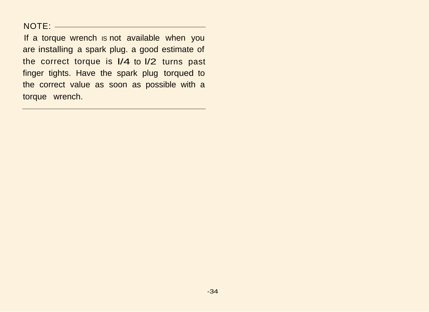#### NOTE:

If a torque wrench is not available when you are installing a spark plug. a good estimate of the correct torque is l/4 to l/2 turns past finger tights. Have the spark plug torqued to the correct value as soon as possible with a torque wrench.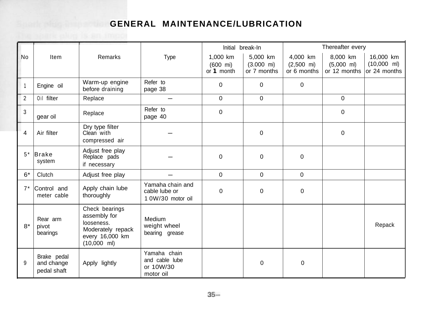# **GENERAL MAINTENANCE/LUBRICATION**

|           |                                          |                                                                                                       |                                                          | Initial break-In                               |                                                 | Thereafter every                                |                                                  |                                                    |
|-----------|------------------------------------------|-------------------------------------------------------------------------------------------------------|----------------------------------------------------------|------------------------------------------------|-------------------------------------------------|-------------------------------------------------|--------------------------------------------------|----------------------------------------------------|
| <b>No</b> | Item                                     | Remarks                                                                                               | Type                                                     | 1,000 km<br>$(600 \; \text{mi})$<br>or 1 month | 5,000 km<br>$(3.000 \text{ mi})$<br>or 7 months | 4,000 km<br>$(2,500 \text{ mi})$<br>or 6 months | 8.000 km<br>$(5,000 \text{ ml})$<br>or 12 months | 16,000 km<br>$(10,000 \text{ ml})$<br>or 24 months |
| 1         | Engine oil                               | Warm-up engine<br>before draining                                                                     | Refer to<br>page 38                                      | 0                                              | $\Omega$                                        | $\mathbf 0$                                     |                                                  |                                                    |
| 2         | Oil filter                               | Replace                                                                                               |                                                          | 0                                              | $\mathbf 0$                                     |                                                 | 0                                                |                                                    |
| 3         | gear oil                                 | Replace                                                                                               | Refer to<br>page 40                                      | $\mathbf 0$                                    |                                                 |                                                 | 0                                                |                                                    |
| 4         | Air filter                               | Dry type filter<br>Clean with<br>compressed air                                                       |                                                          |                                                | $\Omega$                                        |                                                 | $\Omega$                                         |                                                    |
| $5*$      | <b>Brake</b><br>system                   | Adjust free play<br>Replace pads<br>if necessary                                                      |                                                          | $\Omega$                                       | $\Omega$                                        | $\Omega$                                        |                                                  |                                                    |
| $6*$      | Clutch                                   | Adjust free play                                                                                      |                                                          | $\Omega$                                       | $\Omega$                                        | $\Omega$                                        |                                                  |                                                    |
| $7*$      | Control and<br>meter cable               | Apply chain lube<br>thoroughly                                                                        | Yamaha chain and<br>cable lube or<br>1 0W/30 motor oil   | 0                                              | $\Omega$                                        | $\Omega$                                        |                                                  |                                                    |
| $8*$      | Rear arm<br>pivot<br>bearings            | Check bearings<br>assembly for<br>looseness.<br>Moderately repack<br>every 16,000 km<br>$(10,000$ ml) | Medium<br>weight wheel<br>bearing grease                 |                                                |                                                 |                                                 |                                                  | Repack                                             |
| 9         | Brake pedal<br>and change<br>pedal shaft | Apply lightly                                                                                         | Yamaha chain<br>and cable lube<br>or 10W/30<br>motor oil |                                                | 0                                               | 0                                               |                                                  |                                                    |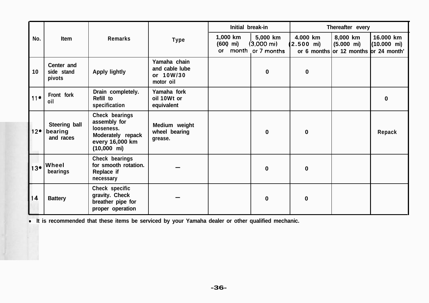|       | Item                                  | Remarks                                                                                                       | Type                                                     | Initial break-in           |                                                       | Thereafter every                   |                                                                           |                                    |
|-------|---------------------------------------|---------------------------------------------------------------------------------------------------------------|----------------------------------------------------------|----------------------------|-------------------------------------------------------|------------------------------------|---------------------------------------------------------------------------|------------------------------------|
| No.   |                                       |                                                                                                               |                                                          | 1,000 km<br>(600 mi)<br>ОT | 5,000 km<br>$(3,000 \text{ mi})$<br>month or 7 months | 4.000 km<br>$(2.500 \, \text{mi})$ | 8,000 km<br>$(5.000 \text{ mi})$<br>or 6 months or 12 months or 24 month' | 16,000 km<br>$(10.000 \text{ mi})$ |
| 10    | Center and<br>side stand<br>pivots    | <b>Apply lightly</b>                                                                                          | Yamaha chain<br>and cable lube<br>or 10W/30<br>motor oil |                            | 0                                                     | 0                                  |                                                                           |                                    |
| $11*$ | Front fork<br>oil                     | Drain completely.<br>Refill to<br>specification                                                               | Yamaha fork<br>oil 10Wt or<br>equivalent                 |                            |                                                       |                                    |                                                                           | 0                                  |
| $12*$ | Steering ball<br>bearing<br>and races | Check bearings<br>assembly for<br>looseness.<br>Moderately repack<br>every 16,000 km<br>$(10,000 \text{ mi})$ | Medium weight<br>wheel bearing<br>grease.                |                            | $\mathbf{0}$                                          | $\bf{0}$                           |                                                                           | Repack                             |
| 13*   | Wheel<br>bearings                     | Check bearings<br>for smooth rotation.<br>Replace if<br>necessary                                             |                                                          |                            | $\bf{0}$                                              | $\bf{0}$                           |                                                                           |                                    |
| 14    | <b>Battery</b>                        | Check specific<br>gravity. Check<br>breather pipe for<br>proper operation                                     |                                                          |                            | $\Omega$                                              | $\bf{0}$                           |                                                                           |                                    |

**It is recommended that these items be serviced by your Yamaha dealer or other qualified mechanic.**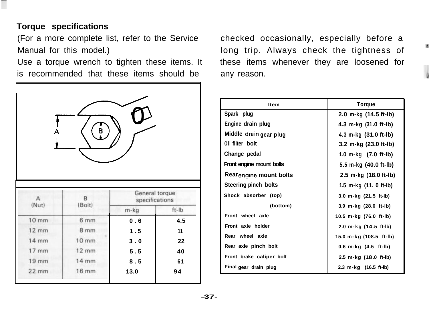# **Torque specifications**

(For a more complete list, refer to the Service Manual for this model.)

|                   | Use a torque wrench to tighten these items. It<br>is recommended that these items should be |                                  |             |
|-------------------|---------------------------------------------------------------------------------------------|----------------------------------|-------------|
|                   | в                                                                                           |                                  |             |
|                   |                                                                                             |                                  |             |
| $\mathsf{A}$      | B                                                                                           | General torque<br>specifications |             |
| (Nut)             | (Bolt)                                                                                      | m-kg                             | $ft$ - $lb$ |
| 10 <sub>mm</sub>  | 6 <sub>mm</sub>                                                                             | 0.6                              | 4.5         |
| $12 \, \text{mm}$ | 8 <sub>mm</sub>                                                                             | 1.5                              | 11          |
| $14 \text{ mm}$   | 10 <sub>mm</sub>                                                                            | 3.0                              | 22          |
| $17$ mm           | $12 \, \text{mm}$                                                                           | 5.5                              | 40          |
| $19$ mm           | 14 mm                                                                                       | 8.5                              | 61          |

checked occasionally, especially before a long trip. Always check the tightness of these items whenever they are loosened for any reason.

¥

| Item                               | Torque                   |  |  |  |
|------------------------------------|--------------------------|--|--|--|
| Spark plug                         | 2.0 m-kg (14.5 ft-lb)    |  |  |  |
| Engine drain plug                  | 4.3 m-kg (31.0 ft-lb)    |  |  |  |
| Middle drain gear plug             | 4.3 m-kg (31.0 ft-lb)    |  |  |  |
| Oil filter bolt                    | 3.2 m-kg (23.0 ft-lb)    |  |  |  |
| Change pedal                       | 1.0 m-kg (7.0 ft-lb)     |  |  |  |
| Front engine mount bolts           | 5.5 m-kg (40.0 ft-lb)    |  |  |  |
| Rear <sub>engine</sub> mount bolts | 2.5 m-kg (18.0 ft-lb)    |  |  |  |
| Steering pinch bolts               | 1.5 m-kg (11. 0 ft-lb)   |  |  |  |
| Shock absorber (top)               | 3.0 m-kg (21.5 ft-lb)    |  |  |  |
| (bottom)                           | 3.9 m-kg (28.0 ft-lb)    |  |  |  |
| Front wheel axle                   | 10.5 m-kg (76.0 ft-lb)   |  |  |  |
| Front axle holder                  | 2.0 m-kg (14.5 ft-lb)    |  |  |  |
| Rear wheel axle                    | 15.0 m-kg (108.5 ft-lb)  |  |  |  |
| Rear axle pinch bolt               | $0.6$ m-kg $(4.5$ ft-lb) |  |  |  |
| Front brake caliper bolt           | 2.5 m-kg (18.0 ft-lb)    |  |  |  |
| Final gear drain plug              | 2.3 m-kg (16.5 ft-lb)    |  |  |  |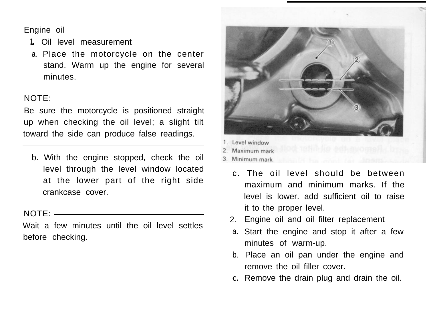Engine oil

- **1.** Oil level measurement
- a. Place the motorcycle on the center stand. Warm up the engine for several minutes.

#### NOTE:

Be sure the motorcycle is positioned straight up when checking the oil level; a slight tilt toward the side can produce false readings.

b. With the engine stopped, check the oil level through the level window located at the lower part of the right side crankcase cover.

#### NOTE:

Wait a few minutes until the oil level settles before checking.



- Level window
- Maximum mark
- 3 Minimum mark
	- c. The oil level should be between maximum and minimum marks. If the level is lower. add sufficient oil to raise it to the proper level.
	- 2. Engine oil and oil filter replacement
	- a. Start the engine and stop it after a few minutes of warm-up.
	- b. Place an oil pan under the engine and remove the oil filler cover.
	- **C.** Remove the drain plug and drain the oil.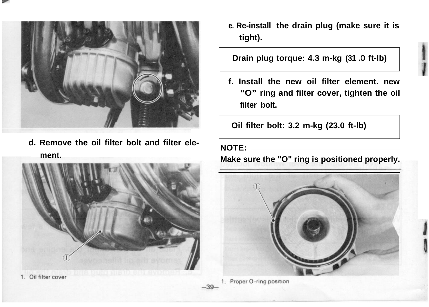

**d. Remove the oil filter bolt and filter element.**



1. Oil filter cover

**e. Re-install the drain plug (make sure it is tight).**

# **Drain plug torque: 4.3 m-kg (31 .O ft-lb)**

**f. Install the new oil filter element. new "O" ring and filter cover, tighten the oil filter bolt.**

**Oil filter bolt: 3.2 m-kg (23.0 ft-lb)**

#### **NOTE:**

**Make sure the "O" ring is positioned properly.**



<sup>1.</sup> Proper O-ring position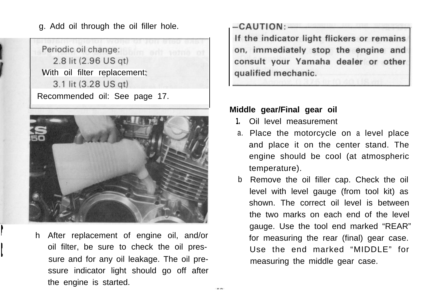g. Add oil through the oil filler hole.





**I** h After replacement of engine oil, and/or oil filter, be sure to check the oil pressure and for any oil leakage. The oil pressure indicator light should go off after the engine is started.

I

-CAUTION:-If the indicator light flickers or remains on, immediately stop the engine and consult your Yamaha dealer or other qualified mechanic.

#### **Middle gear/Final gear oil**

- **1.** Oil level measurement
- a. Place the motorcycle on a level place and place it on the center stand. The engine should be cool (at atmospheric temperature).
- b Remove the oil filler cap. Check the oil level with level gauge (from tool kit) as shown. The correct oil level is between the two marks on each end of the level gauge. Use the tool end marked "REAR" for measuring the rear (final) gear case. Use the end marked "MIDDLE" for measuring the middle gear case.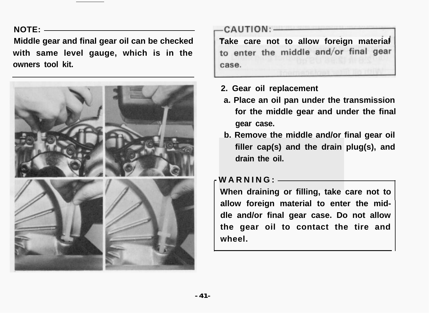#### **NOTE:**

**Middle gear and final gear oil can be checked with same level gauge, which is in the owners tool kit.**



# CAUTION:-

**Take care not to allow foreign material** to enter the middle and/or final gear case.

- **2. Gear oil replacement**
- **a. Place an oil pan under the transmission for the middle gear and under the final gear case.**
- **b. Remove the middle and/or final gear oil filler cap(s) and the drain plug(s), and drain the oil.**

### **-WARNING:**

**When draining or filling, take care not to allow foreign material to enter the middle and/or final gear case. Do not allow the gear oil to contact the tire and wheel.**